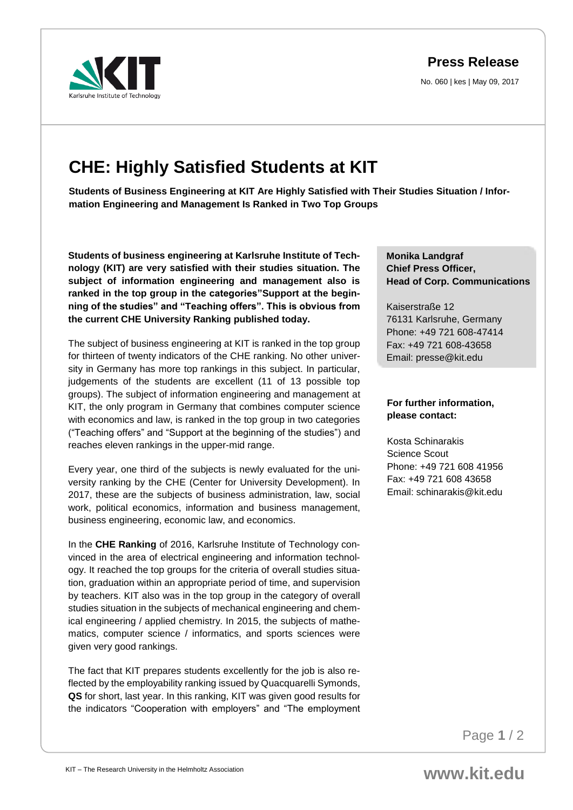**Press Release**

No. 060 | kes | May 09, 2017



# **CHE: Highly Satisfied Students at KIT**

**Students of Business Engineering at KIT Are Highly Satisfied with Their Studies Situation / Information Engineering and Management Is Ranked in Two Top Groups**

**Students of business engineering at Karlsruhe Institute of Technology (KIT) are very satisfied with their studies situation. The subject of information engineering and management also is ranked in the top group in the categories"Support at the beginning of the studies" and "Teaching offers". This is obvious from the current CHE University Ranking published today.** 

The subject of business engineering at KIT is ranked in the top group for thirteen of twenty indicators of the CHE ranking. No other university in Germany has more top rankings in this subject. In particular, judgements of the students are excellent (11 of 13 possible top groups). The subject of information engineering and management at KIT, the only program in Germany that combines computer science with economics and law, is ranked in the top group in two categories ("Teaching offers" and "Support at the beginning of the studies") and reaches eleven rankings in the upper-mid range.

Every year, one third of the subjects is newly evaluated for the university ranking by the CHE (Center for University Development). In 2017, these are the subjects of business administration, law, social work, political economics, information and business management, business engineering, economic law, and economics.

In the **CHE Ranking** of 2016, Karlsruhe Institute of Technology convinced in the area of electrical engineering and information technology. It reached the top groups for the criteria of overall studies situation, graduation within an appropriate period of time, and supervision by teachers. KIT also was in the top group in the category of overall studies situation in the subjects of mechanical engineering and chemical engineering / applied chemistry. In 2015, the subjects of mathematics, computer science / informatics, and sports sciences were given very good rankings.

The fact that KIT prepares students excellently for the job is also reflected by the employability ranking issued by Quacquarelli Symonds, **QS** for short, last year. In this ranking, KIT was given good results for the indicators "Cooperation with employers" and "The employment

**Monika Landgraf Chief Press Officer, Head of Corp. Communications**

Kaiserstraße 12 76131 Karlsruhe, Germany Phone: +49 721 608-47414 Fax: +49 721 608-43658 Email: presse@kit.edu

## **For further information, please contact:**

Kosta Schinarakis Science Scout Phone: +49 721 608 41956 Fax: +49 721 608 43658 Email: schinarakis@kit.edu